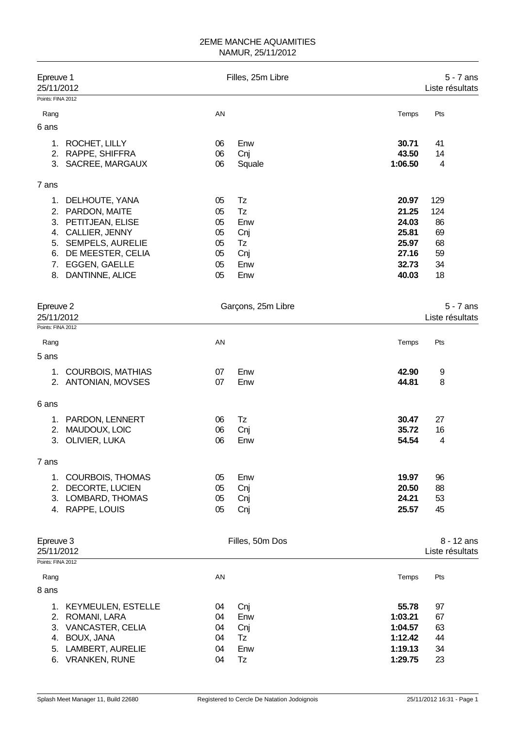| Epreuve 1<br>25/11/2012 |                           |    | Filles, 25m Libre  |         | $5 - 7$ ans<br>Liste résultats  |
|-------------------------|---------------------------|----|--------------------|---------|---------------------------------|
| Points: FINA 2012       |                           |    |                    |         |                                 |
| Rang                    |                           | AN |                    | Temps   | Pts                             |
| 6 ans                   |                           |    |                    |         |                                 |
| 1.                      | ROCHET, LILLY             | 06 | Enw                | 30.71   | 41                              |
| 2.                      | RAPPE, SHIFFRA            | 06 | Cnj                | 43.50   | 14                              |
| 3.                      | SACREE, MARGAUX           | 06 | Squale             | 1:06.50 | 4                               |
| 7 ans                   |                           |    |                    |         |                                 |
| 1.                      | DELHOUTE, YANA            | 05 | Tz                 | 20.97   | 129                             |
| 2.                      | PARDON, MAITE             | 05 | Tz                 | 21.25   | 124                             |
| 3.                      | PETITJEAN, ELISE          | 05 | Enw                | 24.03   | 86                              |
| 4.                      | CALLIER, JENNY            | 05 | Cnj                | 25.81   | 69                              |
| 5.                      | <b>SEMPELS, AURELIE</b>   | 05 | Tz                 | 25.97   | 68                              |
| 6.                      | DE MEESTER, CELIA         | 05 | Cnj                | 27.16   | 59                              |
| 7.                      | EGGEN, GAELLE             | 05 | Enw                | 32.73   | 34                              |
| 8.                      | DANTINNE, ALICE           | 05 | Enw                | 40.03   | 18                              |
| Epreuve 2               |                           |    | Garçons, 25m Libre |         | $5 - 7$ ans                     |
| 25/11/2012              |                           |    |                    |         | Liste résultats                 |
| Points: FINA 2012       |                           |    |                    |         |                                 |
| Rang                    |                           | AN |                    | Temps   | Pts                             |
| 5 ans                   |                           |    |                    |         |                                 |
| 1.                      | <b>COURBOIS, MATHIAS</b>  | 07 | Enw                | 42.90   | 9                               |
|                         | 2. ANTONIAN, MOVSES       | 07 | Enw                | 44.81   | 8                               |
| 6 ans                   |                           |    |                    |         |                                 |
| 1.                      | PARDON, LENNERT           | 06 | Tz                 | 30.47   | 27                              |
| 2.                      | MAUDOUX, LOIC             | 06 | Cnj                | 35.72   | 16                              |
| 3.                      | OLIVIER, LUKA             | 06 | Enw                | 54.54   | 4                               |
| 7 ans                   |                           |    |                    |         |                                 |
| 1.                      | <b>COURBOIS, THOMAS</b>   | 05 | Enw                | 19.97   | 96                              |
| 2.                      | DECORTE, LUCIEN           | 05 | Cnj                | 20.50   | 88                              |
| 3.                      | LOMBARD, THOMAS           | 05 | Cnj                | 24.21   | 53                              |
| 4.                      | RAPPE, LOUIS              | 05 | Cnj                | 25.57   | 45                              |
| Epreuve 3<br>25/11/2012 |                           |    | Filles, 50m Dos    |         | $8 - 12$ ans<br>Liste résultats |
| Points: FINA 2012       |                           |    |                    |         |                                 |
| Rang                    |                           | AN |                    | Temps   | Pts                             |
| 8 ans                   |                           |    |                    |         |                                 |
| 1.                      | <b>KEYMEULEN, ESTELLE</b> | 04 | Cnj                | 55.78   | 97                              |
| 2.                      | ROMANI, LARA              | 04 | Enw                | 1:03.21 | 67                              |
| 3.                      | VANCASTER, CELIA          | 04 | Cnj                | 1:04.57 | 63                              |
| 4.                      | <b>BOUX, JANA</b>         | 04 | Tz                 | 1:12.42 | 44                              |
| 5.                      | LAMBERT, AURELIE          | 04 | Enw                | 1:19.13 | 34                              |
| 6.                      | <b>VRANKEN, RUNE</b>      | 04 | Tz                 | 1:29.75 | 23                              |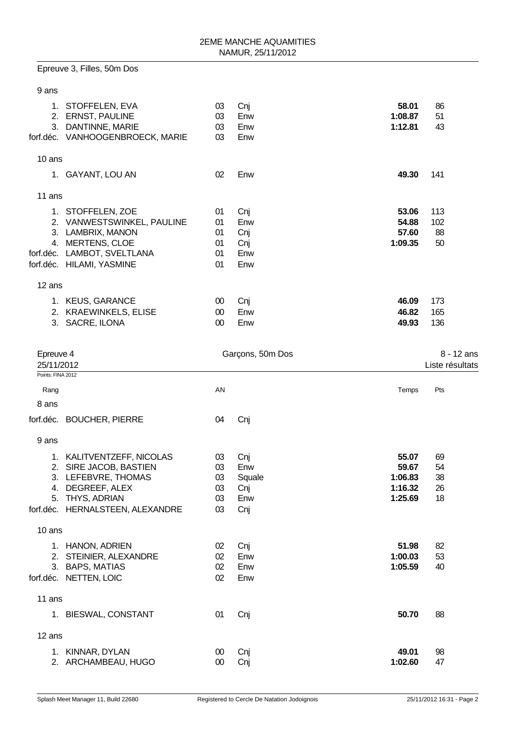|                           | Epreuve 3, Filles, 50m Dos                                                                                                                            |                                  |                                           |                                                 |                            |                               |
|---------------------------|-------------------------------------------------------------------------------------------------------------------------------------------------------|----------------------------------|-------------------------------------------|-------------------------------------------------|----------------------------|-------------------------------|
| 9 ans                     |                                                                                                                                                       |                                  |                                           |                                                 |                            |                               |
|                           | 1. STOFFELEN, EVA<br>2. ERNST, PAULINE<br>3. DANTINNE, MARIE<br>forf.déc. VANHOOGENBROECK, MARIE                                                      | 03<br>03<br>03<br>03             | Cnj<br>Enw<br>Enw<br>Enw                  | 58.01<br>1:08.87<br>1:12.81                     | 86<br>51<br>43             |                               |
| 10 ans                    |                                                                                                                                                       |                                  |                                           |                                                 |                            |                               |
|                           | 1. GAYANT, LOU AN                                                                                                                                     | 02                               | Enw                                       | 49.30                                           | 141                        |                               |
| 11 ans                    |                                                                                                                                                       |                                  |                                           |                                                 |                            |                               |
|                           | 1. STOFFELEN, ZOE<br>2. VANWESTSWINKEL, PAULINE<br>3. LAMBRIX, MANON<br>4. MERTENS, CLOE<br>forf.déc. LAMBOT, SVELTLANA<br>forf.déc. HILAMI, YASMINE  | 01<br>01<br>01<br>01<br>01<br>01 | Cnj<br>Enw<br>Cnj<br>Cnj<br>Enw<br>Enw    | 53.06<br>54.88<br>57.60<br>1:09.35              | 113<br>102<br>88<br>50     |                               |
| 12 ans                    |                                                                                                                                                       |                                  |                                           |                                                 |                            |                               |
|                           | 1. KEUS, GARANCE<br>2. KRAEWINKELS, ELISE<br>3. SACRE, ILONA                                                                                          | 00<br>$00\,$<br>$00\,$           | Cnj<br>Enw<br>Enw                         | 46.09<br>46.82<br>49.93                         | 173<br>165<br>136          |                               |
| Epreuve 4<br>25/11/2012   |                                                                                                                                                       |                                  | Garçons, 50m Dos                          |                                                 |                            | 8 - 12 ans<br>Liste résultats |
| Points: FINA 2012<br>Rang |                                                                                                                                                       | AN                               |                                           | Temps                                           | Pts                        |                               |
| 8 ans                     |                                                                                                                                                       |                                  |                                           |                                                 |                            |                               |
|                           | forf.déc. BOUCHER, PIERRE                                                                                                                             | 04                               | Cnj                                       |                                                 |                            |                               |
| 9 ans                     |                                                                                                                                                       |                                  |                                           |                                                 |                            |                               |
|                           | 1. KALITVENTZEFF, NICOLAS<br>2. SIRE JACOB, BASTIEN<br>3. LEFEBVRE, THOMAS<br>4. DEGREEF, ALEX<br>5. THYS, ADRIAN<br>forf.déc. HERNALSTEEN, ALEXANDRE | 03<br>03<br>03<br>03<br>03<br>03 | Cnj<br>Enw<br>Squale<br>Cnj<br>Enw<br>Cnj | 55.07<br>59.67<br>1:06.83<br>1:16.32<br>1:25.69 | 69<br>54<br>38<br>26<br>18 |                               |
| 10 ans                    |                                                                                                                                                       |                                  |                                           |                                                 |                            |                               |
|                           | 1. HANON, ADRIEN<br>2. STEINIER, ALEXANDRE<br>3. BAPS, MATIAS<br>forf.déc. NETTEN, LOIC                                                               | 02<br>02<br>02<br>02             | Cnj<br>Enw<br>Enw<br>Enw                  | 51.98<br>1:00.03<br>1:05.59                     | 82<br>53<br>40             |                               |
| 11 ans                    |                                                                                                                                                       |                                  |                                           |                                                 |                            |                               |
|                           | 1. BIESWAL, CONSTANT                                                                                                                                  | 01                               | Cnj                                       | 50.70                                           | 88                         |                               |
| 12 ans                    |                                                                                                                                                       |                                  |                                           |                                                 |                            |                               |
|                           | 1. KINNAR, DYLAN<br>2. ARCHAMBEAU, HUGO                                                                                                               | $00\,$<br>$00\,$                 | Cnj<br>Cnj                                | 49.01<br>1:02.60                                | 98<br>47                   |                               |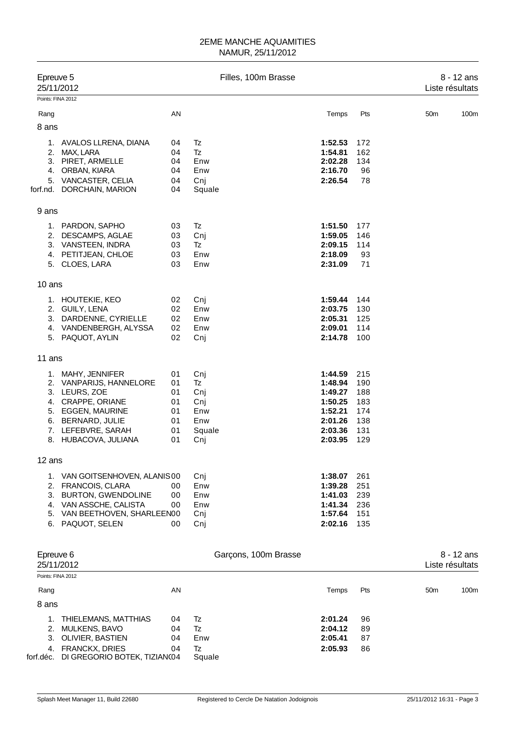| Epreuve 5 | 25/11/2012                                                                                                                                                                 |                                              | Filles, 100m Brasse                                    |                                                                                      |                                                      | 8 - 12 ans<br>Liste résultats   |
|-----------|----------------------------------------------------------------------------------------------------------------------------------------------------------------------------|----------------------------------------------|--------------------------------------------------------|--------------------------------------------------------------------------------------|------------------------------------------------------|---------------------------------|
|           | Points: FINA 2012                                                                                                                                                          |                                              |                                                        |                                                                                      |                                                      |                                 |
| Rang      |                                                                                                                                                                            | AN                                           |                                                        | Temps                                                                                | Pts                                                  | 50 <sub>m</sub><br>100m         |
| 8 ans     |                                                                                                                                                                            |                                              |                                                        |                                                                                      |                                                      |                                 |
|           | 1. AVALOS LLRENA, DIANA<br>2. MAX, LARA<br>3. PIRET, ARMELLE<br>4. ORBAN, KIARA<br>5. VANCASTER, CELIA<br>forf.nd. DORCHAIN, MARION                                        | 04<br>04<br>04<br>04<br>04<br>04             | Tz<br><b>Tz</b><br>Enw<br>Enw<br>Cni<br>Squale         | 1:52.53<br>1:54.81<br>2:02.28<br>2:16.70<br>2:26.54                                  | 172<br>162<br>134<br>96<br>78                        |                                 |
| 9 ans     |                                                                                                                                                                            |                                              |                                                        |                                                                                      |                                                      |                                 |
|           | 1. PARDON, SAPHO<br>2. DESCAMPS, AGLAE<br>3. VANSTEEN, INDRA<br>4. PETITJEAN, CHLOE<br>5. CLOES, LARA                                                                      | 03<br>03<br>03<br>03<br>03                   | Tz<br>Cnj<br><b>Tz</b><br>Enw<br>Enw                   | 1:51.50<br>1:59.05<br>2:09.15<br>2:18.09<br>2:31.09                                  | 177<br>146<br>114<br>93<br>71                        |                                 |
| 10 ans    |                                                                                                                                                                            |                                              |                                                        |                                                                                      |                                                      |                                 |
|           | 1. HOUTEKIE, KEO<br>2. GUILY, LENA<br>3. DARDENNE, CYRIELLE<br>4. VANDENBERGH, ALYSSA<br>5. PAQUOT, AYLIN                                                                  | 02<br>02<br>02<br>02<br>02                   | Cnj<br>Enw<br>Enw<br>Enw<br>Cni                        | 1:59.44<br>2:03.75<br>2:05.31<br>2:09.01<br>2:14.78                                  | 144<br>130<br>125<br>114<br>100                      |                                 |
| 11 ans    |                                                                                                                                                                            |                                              |                                                        |                                                                                      |                                                      |                                 |
|           | 1. MAHY, JENNIFER<br>2. VANPARIJS, HANNELORE<br>3. LEURS, ZOE<br>4. CRAPPE, ORIANE<br>5. EGGEN, MAURINE<br>6. BERNARD, JULIE<br>7. LEFEBVRE, SARAH<br>8. HUBACOVA, JULIANA | 01<br>01<br>01<br>01<br>01<br>01<br>01<br>01 | Cnj<br>Tz<br>Cnj<br>Cnj<br>Enw<br>Enw<br>Squale<br>Cnj | 1:44.59<br>1:48.94<br>1:49.27<br>1:50.25<br>1:52.21<br>2:01.26<br>2:03.36<br>2:03.95 | 215<br>190<br>188<br>183<br>174<br>138<br>131<br>129 |                                 |
| 12 ans    |                                                                                                                                                                            |                                              |                                                        |                                                                                      |                                                      |                                 |
|           | 1. VAN GOITSENHOVEN, ALANIS00<br>2. FRANCOIS, CLARA<br>3. BURTON, GWENDOLINE<br>4. VAN ASSCHE, CALISTA<br>5. VAN BEETHOVEN, SHARLEEN00<br>6. PAQUOT, SELEN                 | 00<br>00<br>00<br>00                         | Cnj<br>Enw<br>Enw<br>Enw<br>Cnj<br>Cnj                 | 1:38.07<br>1:39.28<br>1:41.03<br>1:41.34<br>1:57.64<br>2:02.16                       | 261<br>251<br>239<br>236<br>151<br>135               |                                 |
| Epreuve 6 | 25/11/2012                                                                                                                                                                 |                                              | Garçons, 100m Brasse                                   |                                                                                      |                                                      | $8 - 12$ ans<br>Liste résultats |
|           | Points: FINA 2012                                                                                                                                                          |                                              |                                                        |                                                                                      |                                                      |                                 |

| Rang  |                                        | AN |        | Temps   | Pts | 50 <sub>m</sub> | 100 <sub>m</sub> |
|-------|----------------------------------------|----|--------|---------|-----|-----------------|------------------|
| 8 ans |                                        |    |        |         |     |                 |                  |
|       | 1. THIELEMANS, MATTHIAS                | 04 | Tz     | 2:01.24 | 96  |                 |                  |
|       | 2. MULKENS, BAVO                       | 04 | Tz     | 2:04.12 | 89  |                 |                  |
|       | 3. OLIVIER, BASTIEN                    | 04 | Enw    | 2:05.41 | 87  |                 |                  |
|       | 4. FRANCKX, DRIES                      | 04 | Tz     | 2:05.93 | 86  |                 |                  |
|       | forf.déc. DI GREGORIO BOTEK, TIZIAN(04 |    | Squale |         |     |                 |                  |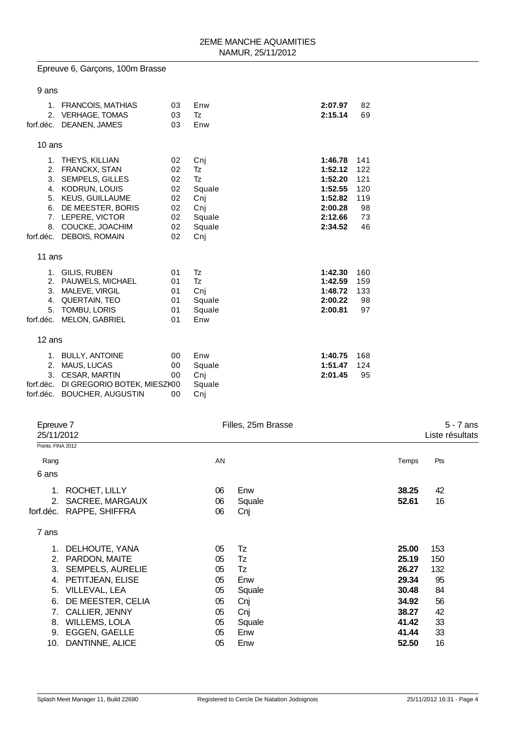# Epreuve 6, Garçons, 100m Brasse

| 9 ans                                         |                                                                                                                                                                                               |                                                    |                                                                    |                                                                                      |                                                   |
|-----------------------------------------------|-----------------------------------------------------------------------------------------------------------------------------------------------------------------------------------------------|----------------------------------------------------|--------------------------------------------------------------------|--------------------------------------------------------------------------------------|---------------------------------------------------|
| 1.<br>2.<br>forf.déc.                         | FRANCOIS, MATHIAS<br><b>VERHAGE, TOMAS</b><br>DEANEN, JAMES                                                                                                                                   | 03<br>03<br>03                                     | Enw<br>Tz<br>Enw                                                   | 2:07.97<br>2:15.14                                                                   | 82<br>69                                          |
| 10 ans                                        |                                                                                                                                                                                               |                                                    |                                                                    |                                                                                      |                                                   |
| 2.<br>3.<br>4.<br>5.<br>6.<br>8.<br>forf.déc. | 1. THEYS, KILLIAN<br><b>FRANCKX, STAN</b><br><b>SEMPELS, GILLES</b><br>KODRUN, LOUIS<br><b>KEUS, GUILLAUME</b><br>DE MEESTER, BORIS<br>7. LEPERE, VICTOR<br>COUCKE, JOACHIM<br>DEBOIS, ROMAIN | 02<br>02<br>02<br>02<br>02<br>02<br>02<br>02<br>02 | Cnj<br>Tz<br>Tz<br>Squale<br>Cnj<br>Cnj<br>Squale<br>Squale<br>Cnj | 1:46.78<br>1:52.12<br>1:52.20<br>1:52.55<br>1:52.82<br>2:00.28<br>2:12.66<br>2:34.52 | 141<br>122<br>121<br>120<br>119<br>98<br>73<br>46 |
| 11 ans                                        |                                                                                                                                                                                               |                                                    |                                                                    |                                                                                      |                                                   |
| 3.<br>4.<br>5.<br>forf.déc.                   | 1. GILIS, RUBEN<br>2. PAUWELS, MICHAEL<br>MALEVE, VIRGIL<br>QUERTAIN, TEO<br>TOMBU, LORIS<br><b>MELON, GABRIEL</b>                                                                            | 01<br>01<br>01<br>01<br>01<br>01                   | Tz<br><b>Tz</b><br>Cni<br>Squale<br>Squale<br>Enw                  | 1:42.30<br>1:42.59<br>1:48.72<br>2:00.22<br>2:00.81                                  | 160<br>159<br>133<br>98<br>97                     |
| $12$ ans                                      |                                                                                                                                                                                               |                                                    |                                                                    |                                                                                      |                                                   |
| 2.<br>3.<br>forf.déc.<br>forf.déc.            | 1. BULLY, ANTOINE<br>MAUS, LUCAS<br><b>CESAR, MARTIN</b><br>DI GREGORIO BOTEK, MIESZK00<br><b>BOUCHER, AUGUSTIN</b>                                                                           | 00<br>00<br>00<br>00                               | Enw<br>Squale<br>Cnj<br>Squale<br>Cni                              | 1:40.75<br>1:51.47<br>2:01.45                                                        | 168<br>124<br>95                                  |

| Epreuve 7<br>25/11/2012 |                |        |                    | $5 - 7$ ans<br>Liste résultats |
|-------------------------|----------------|--------|--------------------|--------------------------------|
| Points: FINA 2012       |                |        |                    |                                |
|                         | AN             |        | Temps              | Pts                            |
|                         |                |        |                    |                                |
| ROCHET, LILLY           | 06             | Enw    | 38.25              | 42                             |
| SACREE, MARGAUX         | 06             | Squale | 52.61              | 16                             |
| RAPPE, SHIFFRA          | 06             | Cnj    |                    |                                |
|                         |                |        |                    |                                |
|                         | 05             | Tz     | 25.00              | 153                            |
| PARDON, MAITE           | 05             | Tz     | 25.19              | 150                            |
| <b>SEMPELS, AURELIE</b> | 05             | Tz     | 26.27              | 132                            |
| PETITJEAN, ELISE        | 05             | Enw    | 29.34              | 95                             |
| VILLEVAL, LEA           | 05             | Squale | 30.48              | 84                             |
| DE MEESTER, CELIA       | 05             | Cnj    | 34.92              | 56                             |
| CALLIER, JENNY          | 05             | Cnj    | 38.27              | 42                             |
| <b>WILLEMS, LOLA</b>    | 05             | Squale | 41.42              | 33                             |
| EGGEN, GAELLE           | 05             | Enw    | 41.44              | 33                             |
| DANTINNE, ALICE         | 05             | Enw    | 52.50              | 16                             |
|                         | DELHOUTE, YANA |        | Filles, 25m Brasse |                                |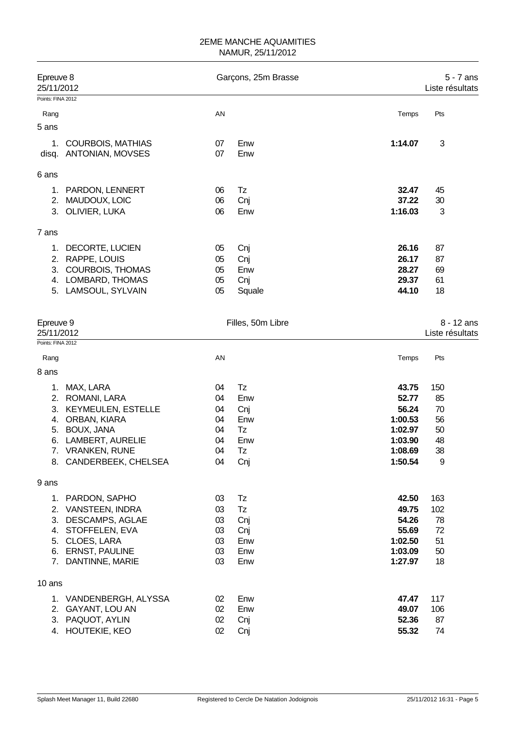| Epreuve 8<br>25/11/2012 |                                                     |          | Garçons, 25m Brasse |         | 5 - 7 ans<br>Liste résultats |
|-------------------------|-----------------------------------------------------|----------|---------------------|---------|------------------------------|
| Points: FINA 2012       |                                                     |          |                     |         |                              |
| Rang                    |                                                     | AN       |                     | Temps   | Pts                          |
| 5 ans                   |                                                     |          |                     |         |                              |
| 1.<br>disq.             | <b>COURBOIS, MATHIAS</b><br><b>ANTONIAN, MOVSES</b> | 07<br>07 | Enw<br>Enw          | 1:14.07 | 3                            |
| 6 ans                   |                                                     |          |                     |         |                              |
| 1.                      | PARDON, LENNERT                                     | 06       | Tz                  | 32.47   | 45                           |
| 2.                      | MAUDOUX, LOIC                                       | 06       | Cnj                 | 37.22   | 30                           |
| 3.                      | OLIVIER, LUKA                                       | 06       | Enw                 | 1:16.03 | 3                            |
| 7 ans                   |                                                     |          |                     |         |                              |
| 1.                      | DECORTE, LUCIEN                                     | 05       | Cnj                 | 26.16   | 87                           |
| 2.                      | RAPPE, LOUIS                                        | 05       | Cnj                 | 26.17   | 87                           |
| 3.                      | <b>COURBOIS, THOMAS</b>                             | 05       | Enw                 | 28.27   | 69                           |
|                         | 4. LOMBARD, THOMAS                                  | 05       | Cnj                 | 29.37   | 61                           |
|                         | 5. LAMSOUL, SYLVAIN                                 | 05       | Squale              | 44.10   | 18                           |
| Epreuve 9               |                                                     |          | Filles, 50m Libre   |         | 8 - 12 ans                   |
| 25/11/2012              |                                                     |          |                     |         | Liste résultats              |
| Points: FINA 2012       |                                                     |          |                     |         |                              |
| Rang                    |                                                     | AN       |                     | Temps   | Pts                          |
| 8 ans                   |                                                     |          |                     |         |                              |
| 1.                      | MAX, LARA                                           | 04       | Tz                  | 43.75   | 150                          |
|                         | 2. ROMANI, LARA                                     | 04       | Enw                 | 52.77   | 85                           |
| 3.                      | <b>KEYMEULEN, ESTELLE</b>                           | 04       | Cnj                 | 56.24   | 70                           |
| 4.                      | ORBAN, KIARA                                        | 04       | Enw                 | 1:00.53 | 56                           |
| 5.                      | BOUX, JANA                                          | 04       | Tz                  | 1:02.97 | 50                           |
| 6.                      | LAMBERT, AURELIE                                    | 04       | Enw                 | 1:03.90 | 48                           |
|                         | 7. VRANKEN, RUNE                                    | 04       | Tz                  | 1:08.69 | 38                           |
|                         | 8. CANDERBEEK, CHELSEA                              | 04       | Cnj                 | 1:50.54 | 9                            |
| 9 ans                   |                                                     |          |                     |         |                              |
| 1.                      | PARDON, SAPHO                                       | 03       | Tz                  | 42.50   | 163                          |
|                         | 2. VANSTEEN, INDRA                                  | 03       | Tz                  | 49.75   | 102                          |
|                         | 3. DESCAMPS, AGLAE                                  | 03       | Cnj                 | 54.26   | 78                           |
|                         | 4. STOFFELEN, EVA                                   | 03       | Cnj                 | 55.69   | 72                           |
| 5.                      | CLOES, LARA                                         | 03       | Enw                 | 1:02.50 | 51                           |
|                         | 6. ERNST, PAULINE                                   | 03       | Enw                 | 1:03.09 | 50                           |
|                         | 7. DANTINNE, MARIE                                  | 03       | Enw                 | 1:27.97 | 18                           |
| 10 ans                  |                                                     |          |                     |         |                              |
|                         | 1. VANDENBERGH, ALYSSA                              | 02       | Enw                 | 47.47   | 117                          |
|                         | 2. GAYANT, LOU AN                                   | 02       | Enw                 | 49.07   | 106                          |
|                         | 3. PAQUOT, AYLIN                                    | 02       | Cnj                 | 52.36   | 87                           |
|                         | 4. HOUTEKIE, KEO                                    | 02       | Cnj                 | 55.32   | 74                           |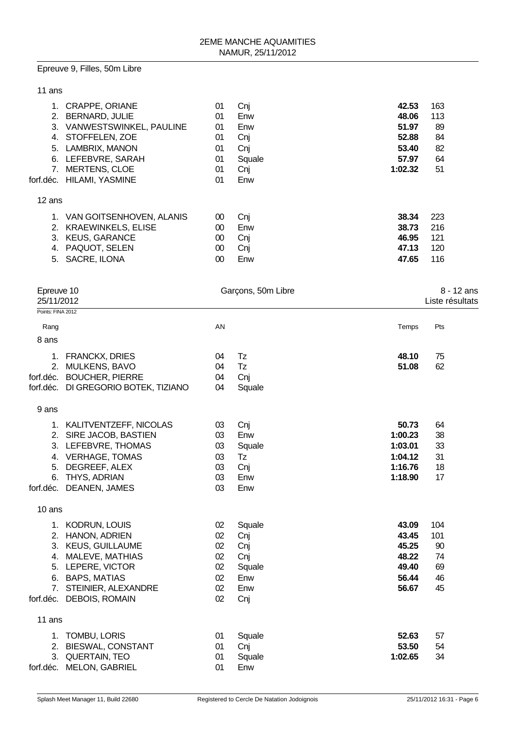#### Epreuve 9, Filles, 50m Libre

| 11 ans            |                                                                                                                                      |                                  |                                           |                                                    |                                    |
|-------------------|--------------------------------------------------------------------------------------------------------------------------------------|----------------------------------|-------------------------------------------|----------------------------------------------------|------------------------------------|
|                   | 1. CRAPPE, ORIANE<br>2. BERNARD, JULIE<br>3. VANWESTSWINKEL, PAULINE<br>4. STOFFELEN, ZOE<br>5. LAMBRIX, MANON<br>6. LEFEBVRE, SARAH | 01<br>01<br>01<br>01<br>01<br>01 | Cnj<br>Enw<br>Enw<br>Cnj<br>Cnj<br>Squale | 42.53<br>48.06<br>51.97<br>52.88<br>53.40<br>57.97 | 163<br>113<br>89<br>84<br>82<br>64 |
|                   | 7. MERTENS, CLOE                                                                                                                     | 01                               | Cnj                                       | 1:02.32                                            | 51                                 |
|                   | forf.déc. HILAMI, YASMINE                                                                                                            | 01                               | Enw                                       |                                                    |                                    |
| 12 ans            |                                                                                                                                      |                                  |                                           |                                                    |                                    |
|                   | 1. VAN GOITSENHOVEN, ALANIS                                                                                                          | $00\,$                           | Cnj                                       | 38.34                                              | 223                                |
|                   | 2. KRAEWINKELS, ELISE                                                                                                                | $00\,$                           | Enw                                       | 38.73                                              | 216                                |
|                   | 3. KEUS, GARANCE<br>4. PAQUOT, SELEN                                                                                                 | $00\,$<br>$00\,$                 | Cnj<br>Cnj                                | 46.95<br>47.13                                     | 121<br>120                         |
|                   | 5. SACRE, ILONA                                                                                                                      | $00\,$                           | Enw                                       | 47.65                                              | 116                                |
|                   |                                                                                                                                      |                                  |                                           |                                                    |                                    |
| Epreuve 10        |                                                                                                                                      |                                  | Garçons, 50m Libre                        |                                                    | 8 - 12 ans                         |
| 25/11/2012        |                                                                                                                                      |                                  |                                           |                                                    | Liste résultats                    |
| Points: FINA 2012 |                                                                                                                                      |                                  |                                           |                                                    |                                    |
| Rang              |                                                                                                                                      | AN                               |                                           | Temps                                              | Pts                                |
| 8 ans             |                                                                                                                                      |                                  |                                           |                                                    |                                    |
|                   | 1. FRANCKX, DRIES                                                                                                                    | 04                               | Tz                                        | 48.10                                              | 75                                 |
|                   | 2. MULKENS, BAVO                                                                                                                     | 04                               | Tz                                        | 51.08                                              | 62                                 |
|                   | forf.déc. BOUCHER, PIERRE                                                                                                            | 04                               | Cnj                                       |                                                    |                                    |
|                   | forf.déc. DI GREGORIO BOTEK, TIZIANO                                                                                                 | 04                               | Squale                                    |                                                    |                                    |
| 9 ans             |                                                                                                                                      |                                  |                                           |                                                    |                                    |
|                   | 1. KALITVENTZEFF, NICOLAS                                                                                                            | 03                               | Cnj                                       | 50.73                                              | 64                                 |
|                   | 2. SIRE JACOB, BASTIEN                                                                                                               | 03                               | Enw                                       | 1:00.23                                            | 38                                 |
|                   | 3. LEFEBVRE, THOMAS                                                                                                                  | 03                               | Squale                                    | 1:03.01                                            | 33                                 |
|                   | 4. VERHAGE, TOMAS                                                                                                                    | 03                               | Tz                                        | 1:04.12                                            | 31                                 |
| 6.                | 5. DEGREEF, ALEX<br>THYS, ADRIAN                                                                                                     | 03<br>03                         | Cnj<br>Enw                                | 1:16.76<br>1:18.90                                 | 18<br>17                           |
|                   | forf.déc. DEANEN, JAMES                                                                                                              | 03                               | Enw                                       |                                                    |                                    |
|                   |                                                                                                                                      |                                  |                                           |                                                    |                                    |
| 10 ans            |                                                                                                                                      |                                  |                                           |                                                    |                                    |
|                   | 1. KODRUN, LOUIS                                                                                                                     | 02                               | Squale                                    | 43.09                                              | 104                                |
|                   | 2. HANON, ADRIEN                                                                                                                     | 02                               | Cnj                                       | 43.45<br>45.25                                     | 101                                |
|                   | 3. KEUS, GUILLAUME<br>4. MALEVE, MATHIAS                                                                                             | 02<br>02                         | Cnj<br>Cnj                                | 48.22                                              | 90<br>74                           |
|                   | 5. LEPERE, VICTOR                                                                                                                    | 02                               | Squale                                    | 49.40                                              | 69                                 |
|                   | 6. BAPS, MATIAS                                                                                                                      | 02                               | Enw                                       | 56.44                                              | 46                                 |
|                   | 7. STEINIER, ALEXANDRE                                                                                                               | 02                               | Enw                                       | 56.67                                              | 45                                 |
|                   | forf.déc. DEBOIS, ROMAIN                                                                                                             | 02                               | Cnj                                       |                                                    |                                    |
| 11 ans            |                                                                                                                                      |                                  |                                           |                                                    |                                    |
|                   | 1. TOMBU, LORIS                                                                                                                      | 01                               | Squale                                    | 52.63                                              | 57                                 |
|                   | 2. BIESWAL, CONSTANT                                                                                                                 | 01                               | Cnj                                       | 53.50                                              | 54                                 |
|                   | 3. QUERTAIN, TEO<br>forf.déc. MELON, GABRIEL                                                                                         | 01<br>01                         | Squale<br>Enw                             | 1:02.65                                            | 34                                 |
|                   |                                                                                                                                      |                                  |                                           |                                                    |                                    |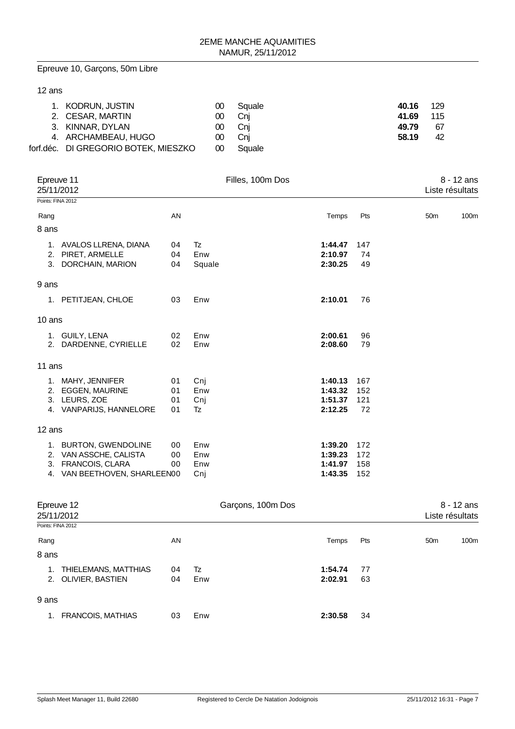Epreuve 10, Garçons, 50m Libre

### 12 ans

| 1. KODRUN, JUSTIN                    | 00     | Squale | 40.16 | - 129 |
|--------------------------------------|--------|--------|-------|-------|
| 2. CESAR, MARTIN                     | 00.    | Cni    | 41.69 | 115   |
| 3. KINNAR, DYLAN                     | $00-$  | - Cni  | 49.79 | -67   |
| 4. ARCHAMBEAU, HUGO                  | $00-1$ | - Cni  | 58.19 | 42    |
| forf.déc. DI GREGORIO BOTEK, MIESZKO | 00     | Squale |       |       |

| Epreuve 11<br>25/11/2012<br>Points: FINA 2012 |    |        | Filles, 100m Dos |     | Liste résultats | 8 - 12 ans |
|-----------------------------------------------|----|--------|------------------|-----|-----------------|------------|
|                                               |    |        |                  |     |                 |            |
| Rang                                          | AN |        | Temps            | Pts | 50 <sub>m</sub> | 100m       |
| 8 ans                                         |    |        |                  |     |                 |            |
| 1. AVALOS LLRENA, DIANA                       | 04 | Tz     | 1:44.47          | 147 |                 |            |
| PIRET, ARMELLE<br>2.                          | 04 | Enw    | 2:10.97          | 74  |                 |            |
| 3. DORCHAIN, MARION                           | 04 | Squale | 2:30.25          | 49  |                 |            |
| 9 ans                                         |    |        |                  |     |                 |            |
| 1. PETITJEAN, CHLOE                           | 03 | Enw    | 2:10.01          | 76  |                 |            |
| $10$ ans                                      |    |        |                  |     |                 |            |
| 1. GUILY, LENA                                | 02 | Enw    | 2:00.61          | 96  |                 |            |
| 2. DARDENNE, CYRIELLE                         | 02 | Enw    | 2:08.60          | 79  |                 |            |
| 11 ans                                        |    |        |                  |     |                 |            |
| 1. MAHY, JENNIFER                             | 01 | Cnj    | 1:40.13          | 167 |                 |            |
| 2. EGGEN, MAURINE                             | 01 | Enw    | 1:43.32          | 152 |                 |            |
| 3. LEURS, ZOE                                 | 01 | Cnj    | 1:51.37          | 121 |                 |            |
| 4. VANPARIJS, HANNELORE                       | 01 | Tz     | 2:12.25          | 72  |                 |            |
| 12 ans                                        |    |        |                  |     |                 |            |
| 1. BURTON, GWENDOLINE                         | 00 | Enw    | 1:39.20          | 172 |                 |            |
| 2. VAN ASSCHE, CALISTA                        | 00 | Enw    | 1:39.23          | 172 |                 |            |
| 3. FRANCOIS, CLARA                            | 00 | Enw    | 1:41.97          | 158 |                 |            |
| 4. VAN BEETHOVEN, SHARLEEN00                  |    | Cnj    | 1:43.35          | 152 |                 |            |
|                                               |    |        |                  |     |                 |            |

| Epreuve 12                     |    | Garçons, 100m Dos |         | $8 - 12$ ans |                         |  |
|--------------------------------|----|-------------------|---------|--------------|-------------------------|--|
| 25/11/2012                     |    |                   |         |              | Liste résultats         |  |
| Points: FINA 2012              |    |                   |         |              |                         |  |
| Rang                           | AN |                   | Temps   | Pts          | 100m<br>50 <sub>m</sub> |  |
| 8 ans                          |    |                   |         |              |                         |  |
| THIELEMANS, MATTHIAS<br>1.     | 04 | Tz                | 1:54.74 | 77           |                         |  |
| 2. OLIVIER, BASTIEN            | 04 | Enw               | 2:02.91 | 63           |                         |  |
| 9 ans                          |    |                   |         |              |                         |  |
| <b>FRANCOIS, MATHIAS</b><br>1. | 03 | Enw               | 2:30.58 | 34           |                         |  |
|                                |    |                   |         |              |                         |  |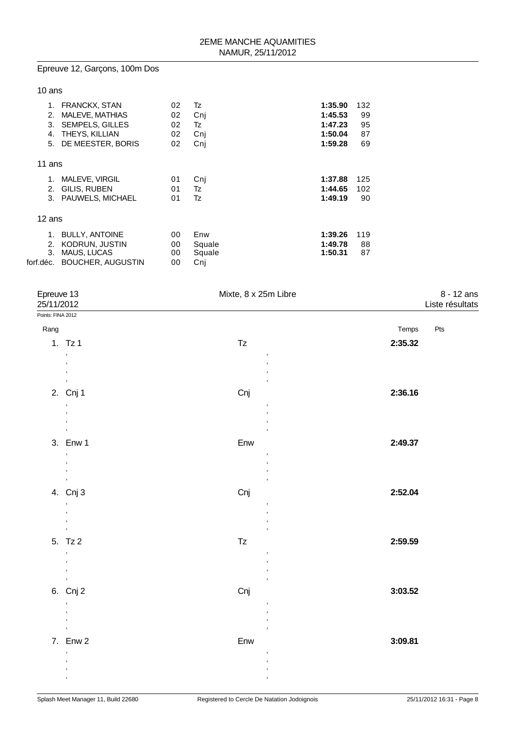# Epreuve 12, Garçons, 100m Dos

### 10 ans

| 1.<br>2.<br>3.<br>4.<br>5.  | <b>FRANCKX, STAN</b><br>MALEVE, MATHIAS<br><b>SEMPELS, GILLES</b><br>THEYS, KILLIAN<br>DE MEESTER, BORIS | 02<br>02<br>02<br>02<br>02 | Tz<br>Cnj<br>Tz<br>Cnj<br>Cnj  | 1:35.90<br>1:45.53<br>1:47.23<br>1:50.04<br>1:59.28 | 132<br>99<br>95<br>87<br>69 |
|-----------------------------|----------------------------------------------------------------------------------------------------------|----------------------------|--------------------------------|-----------------------------------------------------|-----------------------------|
| 11 ans                      |                                                                                                          |                            |                                |                                                     |                             |
| 1.<br>2.<br>3.              | MALEVE, VIRGIL<br>GILIS, RUBEN<br><b>PAUWELS, MICHAEL</b>                                                | 01<br>01<br>01             | Cnj<br>Tz<br>Tz                | 1:37.88<br>1:44.65<br>1:49.19                       | 125<br>102<br>90            |
| 12 ans                      |                                                                                                          |                            |                                |                                                     |                             |
| 1.<br>2.<br>3.<br>forf.déc. | <b>BULLY, ANTOINE</b><br>KODRUN, JUSTIN<br>MAUS, LUCAS<br><b>BOUCHER, AUGUSTIN</b>                       | 00<br>00<br>00<br>00       | Enw<br>Squale<br>Squale<br>Cni | 1:39.26<br>1:49.78<br>1:50.31                       | 119<br>88<br>87             |

| Epreuve 13<br>25/11/2012  |                                            | Mixte, 8 x 25m Libre             |         | 8 - 12 ans<br>Liste résultats |
|---------------------------|--------------------------------------------|----------------------------------|---------|-------------------------------|
| Points: FINA 2012<br>Rang |                                            |                                  | Temps   | Pts                           |
|                           | 1. $Tz1$                                   | $\mathsf{T}\mathsf{z}$           | 2:35.32 |                               |
|                           | $\overline{\phantom{a}}$                   | $\,$                             |         |                               |
|                           | $\overline{\phantom{a}}$                   | $\overline{\phantom{a}}$         |         |                               |
|                           | $\pmb{\cdot}$<br>$\,$                      |                                  |         |                               |
|                           | 2. Cnj 1                                   | Cnj                              | 2:36.16 |                               |
|                           | $^\mathrm{''}$<br>$\overline{\phantom{a}}$ | $\,$                             |         |                               |
|                           | $\,$                                       |                                  |         |                               |
|                           | 3. Enw 1                                   | $\overline{\phantom{a}}$<br>Enw  | 2:49.37 |                               |
|                           | $\,$                                       | ,                                |         |                               |
|                           | $\,$                                       | $\overline{\phantom{a}}$<br>$\,$ |         |                               |
|                           | $\,$                                       | $\overline{\phantom{a}}$         |         |                               |
|                           | 4. Cnj 3                                   | Cnj                              | 2:52.04 |                               |
|                           | $\pmb{\cdot}$<br>$\, ,$                    | $\,$<br>,                        |         |                               |
|                           | $\,$<br>$\,$                               | ,<br>,                           |         |                               |
|                           | 5. Tz 2                                    | $\mathsf{T}\mathsf{z}$           | 2:59.59 |                               |
|                           | $\pmb{\cdot}$                              | ,                                |         |                               |
|                           | $\,$<br>$\,$                               | $\,$                             |         |                               |
|                           | $\mathbf{r}$                               | $\overline{\phantom{a}}$         |         |                               |
|                           | 6. Cnj 2                                   | Cnj                              | 3:03.52 |                               |
|                           | $\,$<br>$\,$                               | ,<br>$\overline{\phantom{a}}$    |         |                               |
|                           | $\pmb{\cdot}$                              | ,<br>,                           |         |                               |
|                           | 7. Enw 2                                   | Enw                              | 3:09.81 |                               |
|                           | $\overline{\phantom{a}}$                   | ,                                |         |                               |
|                           | j,<br>$\overline{\phantom{a}}$             | $\overline{\phantom{a}}$         |         |                               |
|                           | $\,$                                       | ,                                |         |                               |